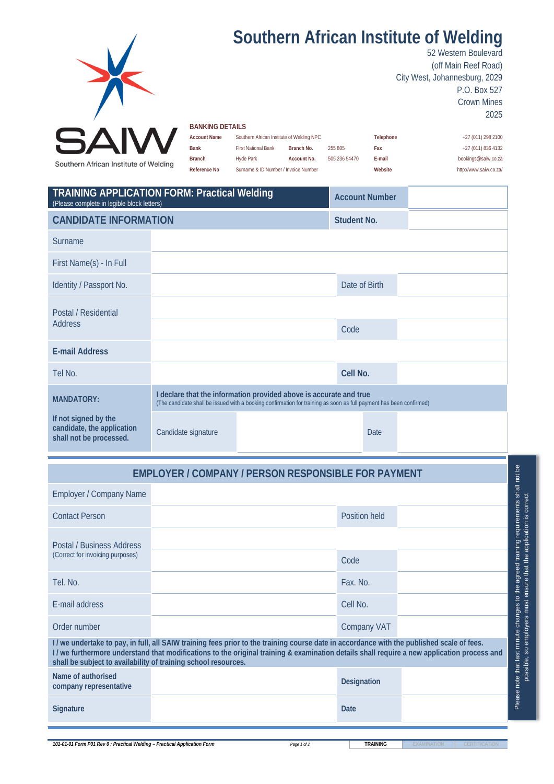

## **Southern African Institute of Welding**

52 Western Boulevard (off Main Reef Road) City West, Johannesburg, 2029 P.O. Box 527 Crown Mines 2025

## **BANKING DETAILS**

| <b>Account Name</b> | Southern African Institute of Welding NPC |             |               | Telephone | +27 (011) 298 2100     |  |  |
|---------------------|-------------------------------------------|-------------|---------------|-----------|------------------------|--|--|
| <b>Bank</b>         | <b>First National Bank</b>                | Branch No.  | 255 805       | Fax       | +27 (011) 836 4132     |  |  |
| <b>Branch</b>       | Hyde Park                                 | Account No. | 505 236 54470 | E-mail    | bookings@saiw.co.za    |  |  |
| Reference No        | Surname & ID Number / Invoice Number      |             |               | Website   | http://www.saiw.co.za/ |  |  |

| <b>TRAINING APPLICATION FORM: Practical Welding</b><br>(Please complete in legible block letters) |                                                                                                                                                                                           |  |               | <b>Account Number</b> |  |
|---------------------------------------------------------------------------------------------------|-------------------------------------------------------------------------------------------------------------------------------------------------------------------------------------------|--|---------------|-----------------------|--|
| <b>CANDIDATE INFORMATION</b>                                                                      |                                                                                                                                                                                           |  | Student No.   |                       |  |
| Surname                                                                                           |                                                                                                                                                                                           |  |               |                       |  |
| First Name(s) - In Full                                                                           |                                                                                                                                                                                           |  |               |                       |  |
| Identity / Passport No.                                                                           |                                                                                                                                                                                           |  | Date of Birth |                       |  |
| Postal / Residential                                                                              |                                                                                                                                                                                           |  |               |                       |  |
| <b>Address</b>                                                                                    |                                                                                                                                                                                           |  | Code          |                       |  |
| <b>E-mail Address</b>                                                                             |                                                                                                                                                                                           |  |               |                       |  |
| Tel No.                                                                                           |                                                                                                                                                                                           |  | Cell No.      |                       |  |
| <b>MANDATORY:</b>                                                                                 | I declare that the information provided above is accurate and true<br>(The candidate shall be issued with a booking confirmation for training as soon as full payment has been confirmed) |  |               |                       |  |
| If not signed by the<br>candidate, the application<br>shall not be processed.                     | Candidate signature                                                                                                                                                                       |  |               | <b>Date</b>           |  |

## **EMPLOYER / COMPANY / PERSON RESPONSIBLE FOR PAYMENT**

| <b>Employer / Company Name</b>                                                                                                                                                                                                                                                                                                                                    |  |                    |  | shall                        |  |  |
|-------------------------------------------------------------------------------------------------------------------------------------------------------------------------------------------------------------------------------------------------------------------------------------------------------------------------------------------------------------------|--|--------------------|--|------------------------------|--|--|
| <b>Contact Person</b>                                                                                                                                                                                                                                                                                                                                             |  | Position held      |  |                              |  |  |
| Postal / Business Address<br>(Correct for invoicing purposes)                                                                                                                                                                                                                                                                                                     |  |                    |  | agreed training requirements |  |  |
|                                                                                                                                                                                                                                                                                                                                                                   |  | Code               |  |                              |  |  |
| Tel. No.                                                                                                                                                                                                                                                                                                                                                          |  | Fax. No.           |  |                              |  |  |
| E-mail address                                                                                                                                                                                                                                                                                                                                                    |  | Cell No.           |  | changes to the               |  |  |
| Order number                                                                                                                                                                                                                                                                                                                                                      |  | <b>Company VAT</b> |  |                              |  |  |
| minute<br>I/we undertake to pay, in full, all SAIW training fees prior to the training course date in accordance with the published scale of fees.<br>I/we furthermore understand that modifications to the original training & examination details shall require a new application process and<br>shall be subject to availability of training school resources. |  |                    |  |                              |  |  |
| Name of authorised<br>company representative                                                                                                                                                                                                                                                                                                                      |  | Designation        |  | Please note that last        |  |  |
| <b>Signature</b>                                                                                                                                                                                                                                                                                                                                                  |  | <b>Date</b>        |  |                              |  |  |
|                                                                                                                                                                                                                                                                                                                                                                   |  |                    |  |                              |  |  |

**101-01-01 Form P01 Rev 0 : Practical Welding – Practical Application Form <b>Page 1 of 2 Page 1 of 2 TRAINING** 

not be